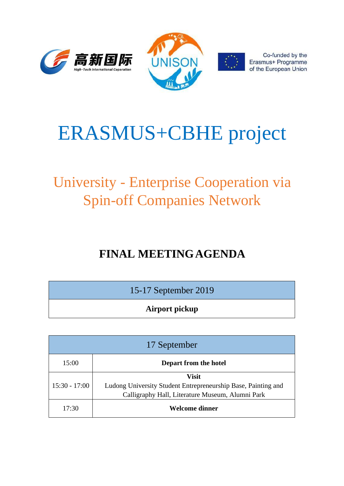





Co-funded by the Erasmus+ Programme of the European Union

# ERASMUS+CBHE project

# University - Enterprise Cooperation via Spin-off Companies Network

# **FINAL MEETINGAGENDA**

| 15-17 September 2019 |
|----------------------|
|----------------------|

**Airport pickup**

| 17 September    |                                                                                                                                   |
|-----------------|-----------------------------------------------------------------------------------------------------------------------------------|
| 15:00           | Depart from the hotel                                                                                                             |
| $15:30 - 17:00$ | <b>Visit</b><br>Ludong University Student Entrepreneurship Base, Painting and<br>Calligraphy Hall, Literature Museum, Alumni Park |
| 17:30           | Welcome dinner                                                                                                                    |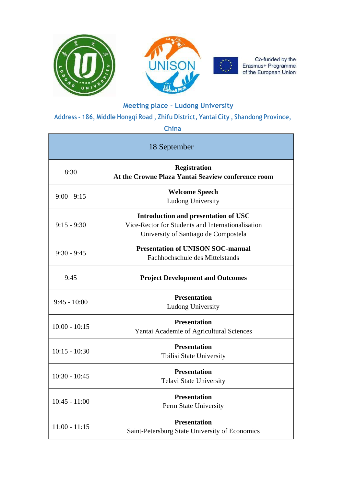

Co-funded by the<br>Erasmus+ Programme<br>of the European Union

Ē.

### **Meeting place - Ludong University**

**Address - 186, Middle Hongqi Road , Zhifu District, Yantai City , Shandong Province,** 

#### **China**

| 18 September    |                                                                                                                                          |  |
|-----------------|------------------------------------------------------------------------------------------------------------------------------------------|--|
| 8:30            | <b>Registration</b><br>At the Crowne Plaza Yantai Seaview conference room                                                                |  |
| $9:00 - 9:15$   | <b>Welcome Speech</b><br><b>Ludong University</b>                                                                                        |  |
| $9:15 - 9:30$   | <b>Introduction and presentation of USC</b><br>Vice-Rector for Students and Internationalisation<br>University of Santiago de Compostela |  |
| $9:30 - 9:45$   | <b>Presentation of UNISON SOC-manual</b><br>Fachhochschule des Mittelstands                                                              |  |
| 9:45            | <b>Project Development and Outcomes</b>                                                                                                  |  |
| $9:45 - 10:00$  | <b>Presentation</b><br><b>Ludong University</b>                                                                                          |  |
| $10:00 - 10:15$ | <b>Presentation</b><br>Yantai Academie of Agricultural Sciences                                                                          |  |
| $10:15 - 10:30$ | <b>Presentation</b><br><b>Tbilisi State University</b>                                                                                   |  |
| $10:30 - 10:45$ | <b>Presentation</b><br><b>Telavi State University</b>                                                                                    |  |
| $10:45 - 11:00$ | <b>Presentation</b><br>Perm State University                                                                                             |  |
| $11:00 - 11:15$ | <b>Presentation</b><br>Saint-Petersburg State University of Economics                                                                    |  |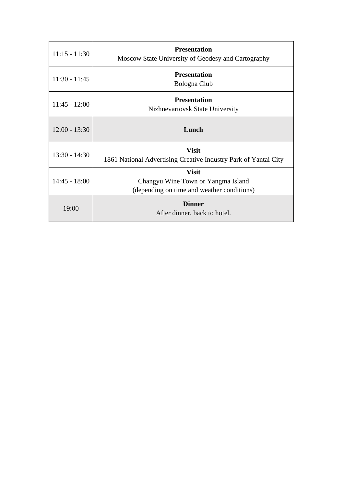| $11:15 - 11:30$ | <b>Presentation</b><br>Moscow State University of Geodesy and Cartography                        |
|-----------------|--------------------------------------------------------------------------------------------------|
| $11:30 - 11:45$ | <b>Presentation</b><br>Bologna Club                                                              |
| $11:45 - 12:00$ | <b>Presentation</b><br>Nizhnevartovsk State University                                           |
| $12:00 - 13:30$ | Lunch                                                                                            |
| $13:30 - 14:30$ | <b>Visit</b><br>1861 National Advertising Creative Industry Park of Yantai City                  |
| $14:45 - 18:00$ | <b>Visit</b><br>Changyu Wine Town or Yangma Island<br>(depending on time and weather conditions) |
| 19:00           | <b>Dinner</b><br>After dinner, back to hotel.                                                    |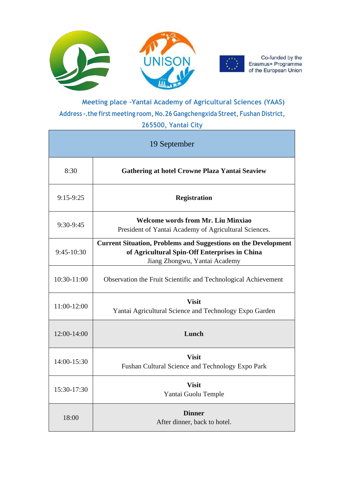



Co-funded by the Erasmus+ Programme of the European Union

## **Meeting place –Yantai Academy of Agricultural Sciences (YAAS) Address -.the first meeting room, No.26 Gangchengxida Street, Fushan District,**

#### **265500, Yantai City**

| 19 September |                                                                                                                                                         |  |
|--------------|---------------------------------------------------------------------------------------------------------------------------------------------------------|--|
| 8:30         | <b>Gathering at hotel Crowne Plaza Yantai Seaview</b>                                                                                                   |  |
| $9:15-9:25$  | <b>Registration</b>                                                                                                                                     |  |
| $9:30-9:45$  | <b>Welcome words from Mr. Liu Minxiao</b><br>President of Yantai Academy of Agricultural Sciences.                                                      |  |
| 9:45-10:30   | <b>Current Situation, Problems and Suggestions on the Development</b><br>of Agricultural Spin-Off Enterprises in China<br>Jiang Zhongwu, Yantai Academy |  |
| 10:30-11:00  | Observation the Fruit Scientific and Technological Achievement                                                                                          |  |
| 11:00-12:00  | <b>Visit</b><br>Yantai Agricultural Science and Technology Expo Garden                                                                                  |  |
| 12:00-14:00  | Lunch                                                                                                                                                   |  |
| 14:00-15:30  | <b>Visit</b><br>Fushan Cultural Science and Technology Expo Park                                                                                        |  |
| 15:30-17:30  | <b>Visit</b><br>Yantai Guolu Temple                                                                                                                     |  |
| 18:00        | <b>Dinner</b><br>After dinner, back to hotel.                                                                                                           |  |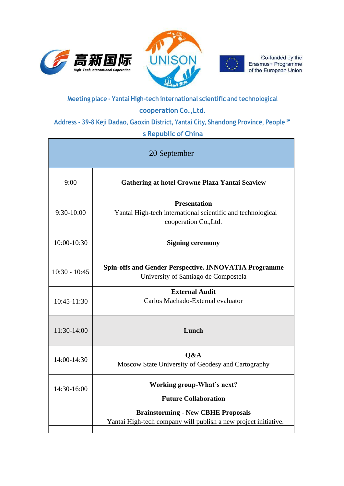





Co-funded by the Erasmus+ Programme of the European Union

### **Meeting place - Yantai High-tech international scientific and technological cooperation Co.,Ltd.**

**Address - 39-8 Keji Dadao, Gaoxin District, Yantai City, Shandong Province, People'** 

#### **s Republic of China**

| 20 September    |                                                                                                              |  |
|-----------------|--------------------------------------------------------------------------------------------------------------|--|
| 9:00            | Gathering at hotel Crowne Plaza Yantai Seaview                                                               |  |
| $9:30-10:00$    | <b>Presentation</b><br>Yantai High-tech international scientific and technological<br>cooperation Co., Ltd.  |  |
| 10:00-10:30     | <b>Signing ceremony</b>                                                                                      |  |
| $10:30 - 10:45$ | <b>Spin-offs and Gender Perspective. INNOVATIA Programme</b><br>University of Santiago de Compostela         |  |
| 10:45-11:30     | <b>External Audit</b><br>Carlos Machado-External evaluator                                                   |  |
| 11:30-14:00     | Lunch                                                                                                        |  |
| 14:00-14:30     | O&A<br>Moscow State University of Geodesy and Cartography                                                    |  |
| 14:30-16:00     | <b>Working group-What's next?</b><br><b>Future Collaboration</b>                                             |  |
|                 | <b>Brainstorming - New CBHE Proposals</b><br>Yantai High-tech company will publish a new project initiative. |  |

16:00-16:30 **Session about the INNOVATIA Programme**